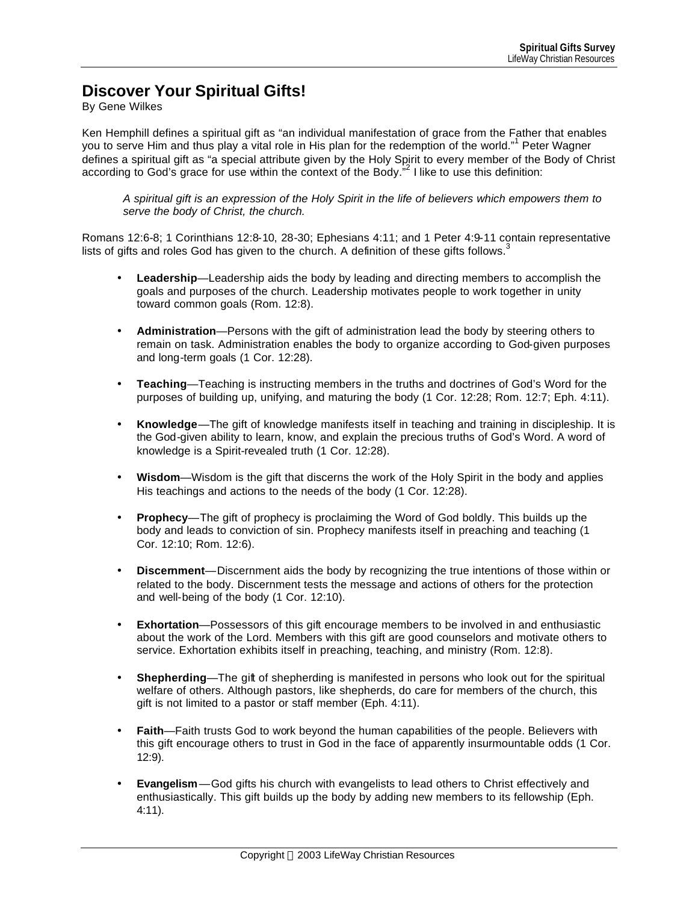## **Discover Your Spiritual Gifts!**

By Gene Wilkes

Ken Hemphill defines a spiritual gift as "an individual manifestation of grace from the Father that enables you to serve Him and thus play a vital role in His plan for the redemption of the world."<sup>1</sup> Peter Wagner defines a spiritual gift as "a special attribute given by the Holy Spirit to every member of the Body of Christ according to God's grace for use within the context of the Body."<sup>2</sup> I like to use this definition:

*A spiritual gift is an expression of the Holy Spirit in the life of believers which empowers them to serve the body of Christ, the church.*

Romans 12:6-8; 1 Corinthians 12:8-10, 28-30; Ephesians 4:11; and 1 Peter 4:9-11 contain representative lists of gifts and roles God has given to the church. A definition of these gifts follows.<sup>3</sup>

- **Leadership**—Leadership aids the body by leading and directing members to accomplish the goals and purposes of the church. Leadership motivates people to work together in unity toward common goals (Rom. 12:8).
- **Administration**—Persons with the gift of administration lead the body by steering others to remain on task. Administration enables the body to organize according to God-given purposes and long-term goals (1 Cor. 12:28).
- **Teaching**—Teaching is instructing members in the truths and doctrines of God's Word for the purposes of building up, unifying, and maturing the body (1 Cor. 12:28; Rom. 12:7; Eph. 4:11).
- **Knowledge**—The gift of knowledge manifests itself in teaching and training in discipleship. It is the God-given ability to learn, know, and explain the precious truths of God's Word. A word of knowledge is a Spirit-revealed truth (1 Cor. 12:28).
- **Wisdom**—Wisdom is the gift that discerns the work of the Holy Spirit in the body and applies His teachings and actions to the needs of the body (1 Cor. 12:28).
- **Prophecy**—The gift of prophecy is proclaiming the Word of God boldly. This builds up the body and leads to conviction of sin. Prophecy manifests itself in preaching and teaching (1 Cor. 12:10; Rom. 12:6).
- **Discernment**—Discernment aids the body by recognizing the true intentions of those within or related to the body. Discernment tests the message and actions of others for the protection and well-being of the body (1 Cor. 12:10).
- **Exhortation**—Possessors of this gift encourage members to be involved in and enthusiastic about the work of the Lord. Members with this gift are good counselors and motivate others to service. Exhortation exhibits itself in preaching, teaching, and ministry (Rom. 12:8).
- **Shepherding**—The gift of shepherding is manifested in persons who look out for the spiritual welfare of others. Although pastors, like shepherds, do care for members of the church, this gift is not limited to a pastor or staff member (Eph. 4:11).
- **Faith**—Faith trusts God to work beyond the human capabilities of the people. Believers with this gift encourage others to trust in God in the face of apparently insurmountable odds (1 Cor. 12:9).
- **Evangelism**—God gifts his church with evangelists to lead others to Christ effectively and enthusiastically. This gift builds up the body by adding new members to its fellowship (Eph. 4:11).